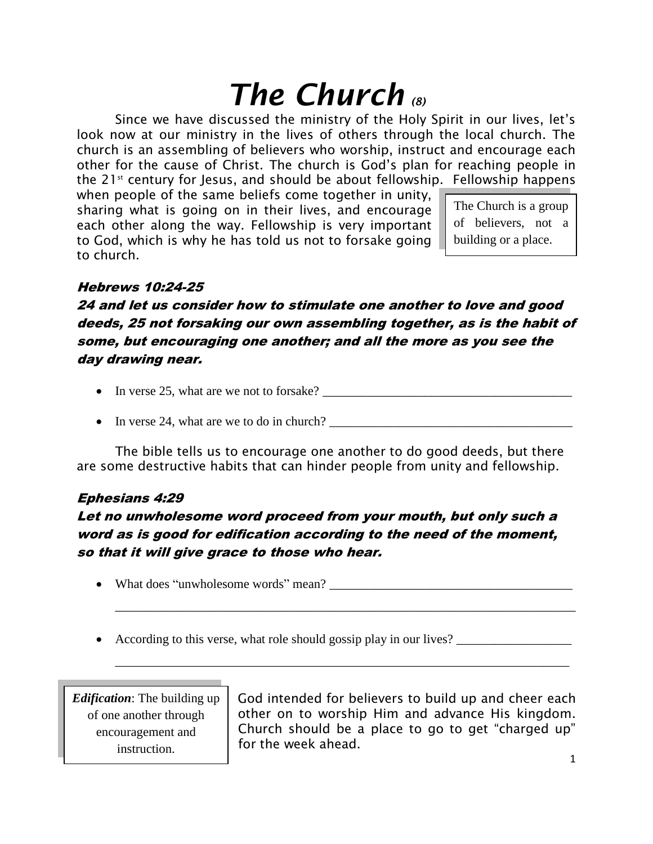# *The Church (8)*

Since we have discussed the ministry of the Holy Spirit in our lives, let's look now at our ministry in the lives of others through the local church. The church is an assembling of believers who worship, instruct and encourage each other for the cause of Christ. The church is God's plan for reaching people in the  $21^{st}$  century for Jesus, and should be about fellowship. Fellowship happens

when people of the same beliefs come together in unity, sharing what is going on in their lives, and encourage each other along the way. Fellowship is very important to God, which is why he has told us not to forsake going to church.

The Church is a group of believers, not a building or a place.

## Hebrews 10:24-25

24 and let us consider how to stimulate one another to love and good deeds, 25 not forsaking our own assembling together, as is the habit of some, but encouraging one another; and all the more as you see the day drawing near.

- In verse 25, what are we not to forsake?
- In verse 24, what are we to do in church? \_\_\_\_\_\_\_\_\_\_\_\_\_\_\_\_\_\_\_\_\_\_\_\_\_\_\_\_\_\_\_\_\_\_\_\_\_\_

The bible tells us to encourage one another to do good deeds, but there are some destructive habits that can hinder people from unity and fellowship.

## Ephesians 4:29

# Let no unwholesome word proceed from your mouth, but only such a word as is good for edification according to the need of the moment, so that it will give grace to those who hear.

- What does "unwholesome words" mean?
- According to this verse, what role should gossip play in our lives?

\_\_\_\_\_\_\_\_\_\_\_\_\_\_\_\_\_\_\_\_\_\_\_\_\_\_\_\_\_\_\_\_\_\_\_\_\_\_\_\_\_\_\_\_\_\_\_\_\_\_\_\_\_\_\_\_\_\_\_\_\_\_\_\_\_\_\_\_\_\_\_\_

\_\_\_\_\_\_\_\_\_\_\_\_\_\_\_\_\_\_\_\_\_\_\_\_\_\_\_\_\_\_\_\_\_\_\_\_\_\_\_\_\_\_\_\_\_\_\_\_\_\_\_\_\_\_\_\_\_\_\_\_\_\_\_\_\_\_\_\_\_\_\_

*Edification*: The building up of one another through encouragement and instruction.

God intended for believers to build up and cheer each other on to worship Him and advance His kingdom. Church should be a place to go to get "charged up" for the week ahead.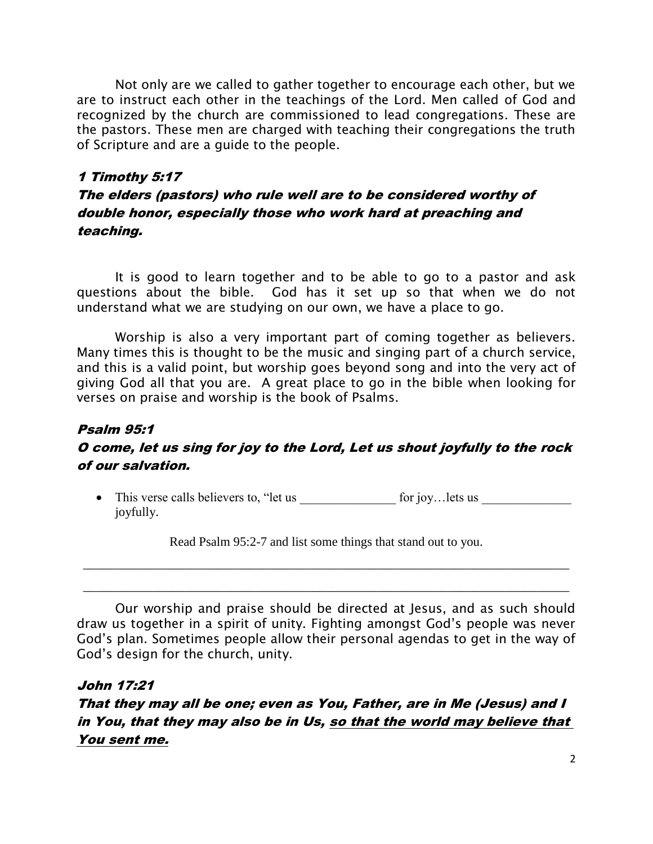Not only are we called to gather together to encourage each other, but we are to instruct each other in the teachings of the Lord. Men called of God and recognized by the church are commissioned to lead congregations. These are the pastors. These men are charged with teaching their congregations the truth of Scripture and are a guide to the people.

## 1 Timothy 5:17 The elders (pastors) who rule well are to be considered worthy of double honor, especially those who work hard at preaching and teaching.

It is good to learn together and to be able to go to a pastor and ask questions about the bible. God has it set up so that when we do not understand what we are studying on our own, we have a place to go.

Worship is also a very important part of coming together as believers. Many times this is thought to be the music and singing part of a church service, and this is a valid point, but worship goes beyond song and into the very act of giving God all that you are. A great place to go in the bible when looking for verses on praise and worship is the book of Psalms.

## Psalm 95:1

## O come, let us sing for joy to the Lord, Let us shout joyfully to the rock of our salvation.

• This verse calls believers to, "let us  $\qquad \qquad$  for joy…lets us joyfully.

Read Psalm 95:2-7 and list some things that stand out to you.

\_\_\_\_\_\_\_\_\_\_\_\_\_\_\_\_\_\_\_\_\_\_\_\_\_\_\_\_\_\_\_\_\_\_\_\_\_\_\_\_\_\_\_\_\_\_\_\_\_\_\_\_\_\_\_\_\_\_\_\_\_\_\_\_\_\_\_\_\_\_\_\_\_\_\_\_

\_\_\_\_\_\_\_\_\_\_\_\_\_\_\_\_\_\_\_\_\_\_\_\_\_\_\_\_\_\_\_\_\_\_\_\_\_\_\_\_\_\_\_\_\_\_\_\_\_\_\_\_\_\_\_\_\_\_\_\_\_\_\_\_\_\_\_\_\_\_\_\_\_\_\_\_

Our worship and praise should be directed at Jesus, and as such should draw us together in a spirit of unity. Fighting amongst God's people was never God's plan. Sometimes people allow their personal agendas to get in the way of God's design for the church, unity.

## John 17:21

That they may all be one; even as You, Father, are in Me (Jesus) and I in You, that they may also be in Us, so that the world may believe that You sent me.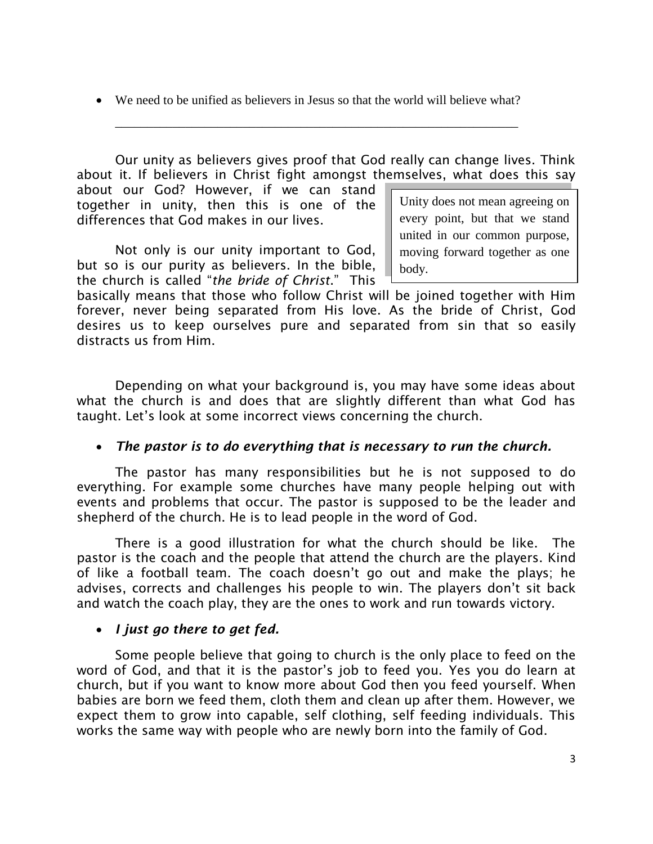We need to be unified as believers in Jesus so that the world will believe what?

\_\_\_\_\_\_\_\_\_\_\_\_\_\_\_\_\_\_\_\_\_\_\_\_\_\_\_\_\_\_\_\_\_\_\_\_\_\_\_\_\_\_\_\_\_\_\_\_\_\_\_\_\_\_\_\_\_\_\_\_\_\_\_

Unity does not mean agreeing on every point, but that we stand Our unity as believers gives proof that God really can change lives. Think about it. If believers in Christ fight amongst themselves, what does this say about our God? However, if we can stand together in unity, then this is one of the differences that God makes in our lives.

Not only is our unity important to God, but so is our purity as believers. In the bible, the church is called "*the bride of Christ*." This

united in our common purpose, moving forward together as one body.

basically means that those who follow Christ will be joined together with Him forever, never being separated from His love. As the bride of Christ, God desires us to keep ourselves pure and separated from sin that so easily distracts us from Him.

Depending on what your background is, you may have some ideas about what the church is and does that are slightly different than what God has taught. Let's look at some incorrect views concerning the church.

## *The pastor is to do everything that is necessary to run the church.*

The pastor has many responsibilities but he is not supposed to do everything. For example some churches have many people helping out with events and problems that occur. The pastor is supposed to be the leader and shepherd of the church. He is to lead people in the word of God.

There is a good illustration for what the church should be like. The pastor is the coach and the people that attend the church are the players. Kind of like a football team. The coach doesn't go out and make the plays; he advises, corrects and challenges his people to win. The players don't sit back and watch the coach play, they are the ones to work and run towards victory.

## *I just go there to get fed.*

Some people believe that going to church is the only place to feed on the word of God, and that it is the pastor's job to feed you. Yes you do learn at church, but if you want to know more about God then you feed yourself. When babies are born we feed them, cloth them and clean up after them. However, we expect them to grow into capable, self clothing, self feeding individuals. This works the same way with people who are newly born into the family of God.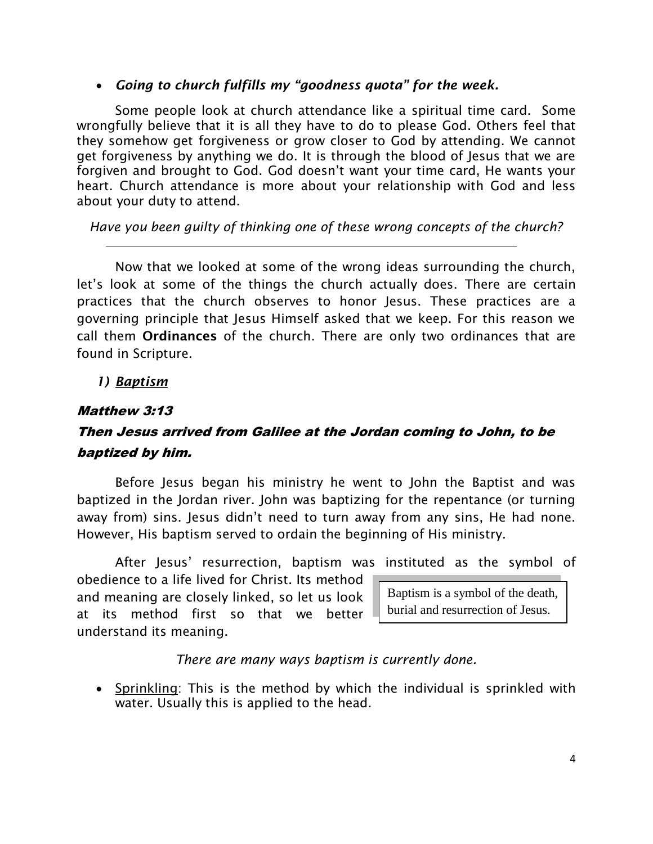## *Going to church fulfills my "goodness quota" for the week.*

Some people look at church attendance like a spiritual time card. Some wrongfully believe that it is all they have to do to please God. Others feel that they somehow get forgiveness or grow closer to God by attending. We cannot get forgiveness by anything we do. It is through the blood of Jesus that we are forgiven and brought to God. God doesn't want your time card, He wants your heart. Church attendance is more about your relationship with God and less about your duty to attend.

## *Have you been guilty of thinking one of these wrong concepts of the church?*

Now that we looked at some of the wrong ideas surrounding the church, let's look at some of the things the church actually does. There are certain practices that the church observes to honor Jesus. These practices are a governing principle that Jesus Himself asked that we keep. For this reason we call them **Ordinances** of the church. There are only two ordinances that are found in Scripture.

*1) Baptism*

## Matthew 3:13

# Then Jesus arrived from Galilee at the Jordan coming to John, to be baptized by him.

Before Jesus began his ministry he went to John the Baptist and was baptized in the Jordan river. John was baptizing for the repentance (or turning away from) sins. Jesus didn't need to turn away from any sins, He had none. However, His baptism served to ordain the beginning of His ministry.

After Jesus' resurrection, baptism was instituted as the symbol of

obedience to a life lived for Christ. Its method and meaning are closely linked, so let us look at its method first so that we better understand its meaning.

Baptism is a symbol of the death, burial and resurrection of Jesus.

#### *There are many ways baptism is currently done.*

• Sprinkling: This is the method by which the individual is sprinkled with water. Usually this is applied to the head.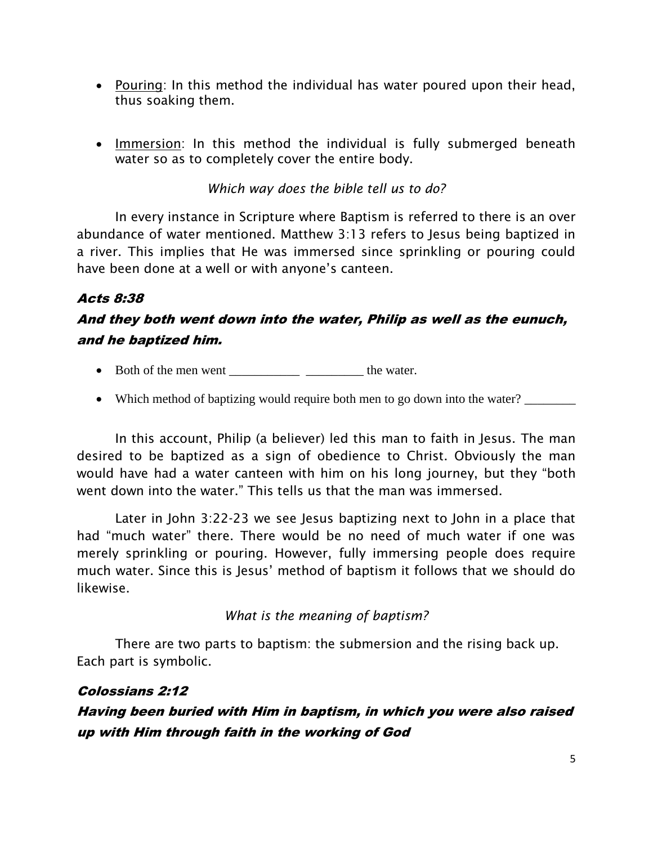- Pouring: In this method the individual has water poured upon their head, thus soaking them.
- Immersion: In this method the individual is fully submerged beneath water so as to completely cover the entire body.

## *Which way does the bible tell us to do?*

In every instance in Scripture where Baptism is referred to there is an over abundance of water mentioned. Matthew 3:13 refers to Jesus being baptized in a river. This implies that He was immersed since sprinkling or pouring could have been done at a well or with anyone's canteen.

## Acts 8:38

# And they both went down into the water, Philip as well as the eunuch, and he baptized him.

- Both of the men went \_\_\_\_\_\_\_\_\_\_\_\_\_\_\_\_\_\_\_\_\_ the water.
- Which method of baptizing would require both men to go down into the water?

In this account, Philip (a believer) led this man to faith in Jesus. The man desired to be baptized as a sign of obedience to Christ. Obviously the man would have had a water canteen with him on his long journey, but they "both went down into the water." This tells us that the man was immersed.

Later in John 3:22-23 we see Jesus baptizing next to John in a place that had "much water" there. There would be no need of much water if one was merely sprinkling or pouring. However, fully immersing people does require much water. Since this is Jesus' method of baptism it follows that we should do likewise.

*What is the meaning of baptism?*

There are two parts to baptism: the submersion and the rising back up. Each part is symbolic.

## Colossians 2:12

# Having been buried with Him in baptism, in which you were also raised up with Him through faith in the working of God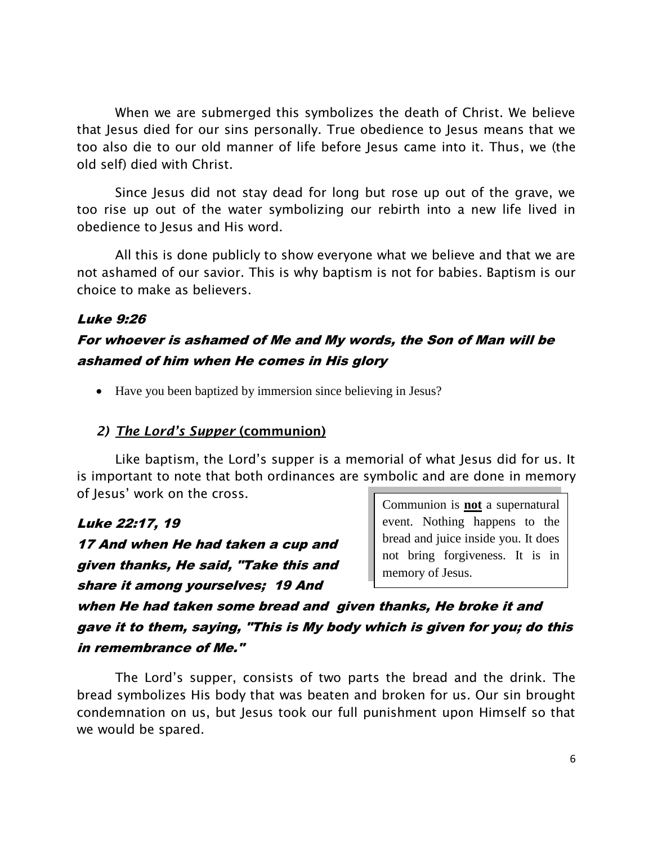When we are submerged this symbolizes the death of Christ. We believe that Jesus died for our sins personally. True obedience to Jesus means that we too also die to our old manner of life before Jesus came into it. Thus, we (the old self) died with Christ.

Since Jesus did not stay dead for long but rose up out of the grave, we too rise up out of the water symbolizing our rebirth into a new life lived in obedience to Jesus and His word.

All this is done publicly to show everyone what we believe and that we are not ashamed of our savior. This is why baptism is not for babies. Baptism is our choice to make as believers.

## Luke 9:26

# For whoever is ashamed of Me and My words, the Son of Man will be ashamed of him when He comes in His glory

• Have you been baptized by immersion since believing in Jesus?

## *2) The Lord's Supper* **(communion)**

Like baptism, the Lord's supper is a memorial of what Jesus did for us. It is important to note that both ordinances are symbolic and are done in memory of Jesus' work on the cross.

#### Luke 22:17, 19

17 And when He had taken a cup and given thanks, He said, "Take this and share it among yourselves; 19 And

Communion is **not** a supernatural event. Nothing happens to the bread and juice inside you. It does not bring forgiveness. It is in memory of Jesus.

when He had taken some bread and given thanks, He broke it and gave it to them, saying, "This is My body which is given for you; do this in remembrance of Me."

The Lord's supper, consists of two parts the bread and the drink. The bread symbolizes His body that was beaten and broken for us. Our sin brought condemnation on us, but Jesus took our full punishment upon Himself so that we would be spared.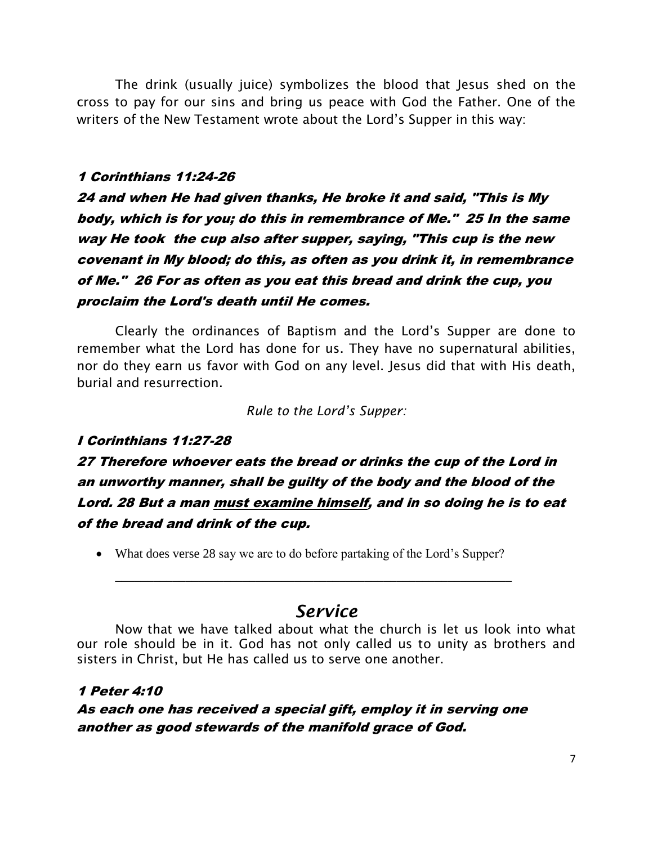The drink (usually juice) symbolizes the blood that Jesus shed on the cross to pay for our sins and bring us peace with God the Father. One of the writers of the New Testament wrote about the Lord's Supper in this way:

#### 1 Corinthians 11:24-26

24 and when He had given thanks, He broke it and said, "This is My body, which is for you; do this in remembrance of Me." 25 In the same way He took the cup also after supper, saying, "This cup is the new covenant in My blood; do this, as often as you drink it, in remembrance of Me." 26 For as often as you eat this bread and drink the cup, you proclaim the Lord's death until He comes.

Clearly the ordinances of Baptism and the Lord's Supper are done to remember what the Lord has done for us. They have no supernatural abilities, nor do they earn us favor with God on any level. Jesus did that with His death, burial and resurrection.

*Rule to the Lord's Supper:*

## I Corinthians 11:27-28

27 Therefore whoever eats the bread or drinks the cup of the Lord in an unworthy manner, shall be guilty of the body and the blood of the Lord. 28 But a man must examine himself, and in so doing he is to eat of the bread and drink of the cup.

• What does verse 28 say we are to do before partaking of the Lord's Supper?

\_\_\_\_\_\_\_\_\_\_\_\_\_\_\_\_\_\_\_\_\_\_\_\_\_\_\_\_\_\_\_\_\_\_\_\_\_\_\_\_\_\_\_\_\_\_\_\_\_\_\_\_\_\_\_\_\_\_\_\_\_\_

# *Service*

Now that we have talked about what the church is let us look into what our role should be in it. God has not only called us to unity as brothers and sisters in Christ, but He has called us to serve one another.

## 1 Peter 4:10

As each one has received a special gift, employ it in serving one another as good stewards of the manifold grace of God.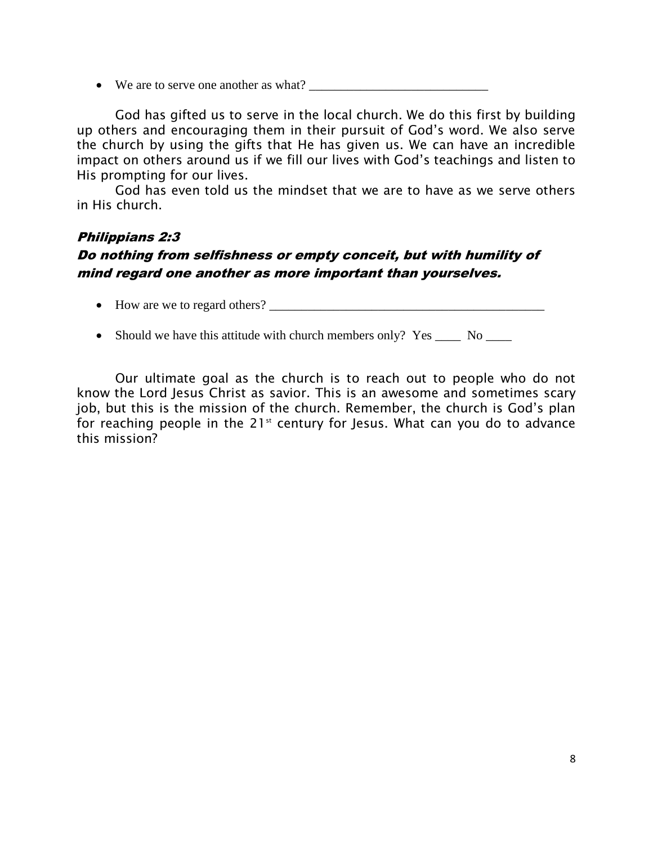• We are to serve one another as what?

God has gifted us to serve in the local church. We do this first by building up others and encouraging them in their pursuit of God's word. We also serve the church by using the gifts that He has given us. We can have an incredible impact on others around us if we fill our lives with God's teachings and listen to His prompting for our lives.

God has even told us the mindset that we are to have as we serve others in His church.

#### Philippians 2:3

# Do nothing from selfishness or empty conceit, but with humility of mind regard one another as more important than yourselves.

- How are we to regard others?
- Should we have this attitude with church members only? Yes \_\_\_\_\_ No \_\_\_\_

Our ultimate goal as the church is to reach out to people who do not know the Lord Jesus Christ as savior. This is an awesome and sometimes scary job, but this is the mission of the church. Remember, the church is God's plan for reaching people in the  $21<sup>st</sup>$  century for Jesus. What can you do to advance this mission?